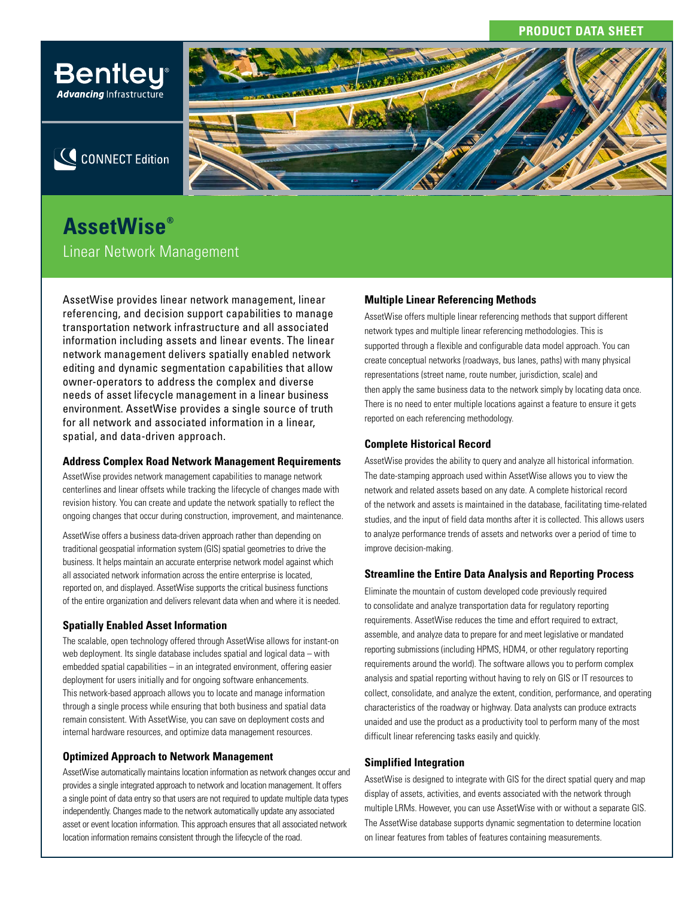# **PRODUCT DATA SHEET**



# **AssetWise®** Linear Network Management

AssetWise provides linear network management, linear referencing, and decision support capabilities to manage transportation network infrastructure and all associated information including assets and linear events. The linear network management delivers spatially enabled network editing and dynamic segmentation capabilities that allow owner-operators to address the complex and diverse needs of asset lifecycle management in a linear business environment. AssetWise provides a single source of truth for all network and associated information in a linear, spatial, and data-driven approach.

### **Address Complex Road Network Management Requirements**

AssetWise provides network management capabilities to manage network centerlines and linear offsets while tracking the lifecycle of changes made with revision history. You can create and update the network spatially to reflect the ongoing changes that occur during construction, improvement, and maintenance.

AssetWise offers a business data-driven approach rather than depending on traditional geospatial information system (GIS) spatial geometries to drive the business. It helps maintain an accurate enterprise network model against which all associated network information across the entire enterprise is located, reported on, and displayed. AssetWise supports the critical business functions of the entire organization and delivers relevant data when and where it is needed.

# **Spatially Enabled Asset Information**

The scalable, open technology offered through AssetWise allows for instant-on web deployment. Its single database includes spatial and logical data – with embedded spatial capabilities – in an integrated environment, offering easier deployment for users initially and for ongoing software enhancements. This network-based approach allows you to locate and manage information through a single process while ensuring that both business and spatial data remain consistent. With AssetWise, you can save on deployment costs and internal hardware resources, and optimize data management resources.

# **Optimized Approach to Network Management**

AssetWise automatically maintains location information as network changes occur and provides a single integrated approach to network and location management. It offers a single point of data entry so that users are not required to update multiple data types independently. Changes made to the network automatically update any associated asset or event location information. This approach ensures that all associated network location information remains consistent through the lifecycle of the road.

# **Multiple Linear Referencing Methods**

AssetWise offers multiple linear referencing methods that support different network types and multiple linear referencing methodologies. This is supported through a flexible and configurable data model approach. You can create conceptual networks (roadways, bus lanes, paths) with many physical representations (street name, route number, jurisdiction, scale) and then apply the same business data to the network simply by locating data once. There is no need to enter multiple locations against a feature to ensure it gets reported on each referencing methodology.

## **Complete Historical Record**

AssetWise provides the ability to query and analyze all historical information. The date-stamping approach used within AssetWise allows you to view the network and related assets based on any date. A complete historical record of the network and assets is maintained in the database, facilitating time-related studies, and the input of field data months after it is collected. This allows users to analyze performance trends of assets and networks over a period of time to improve decision-making.

# **Streamline the Entire Data Analysis and Reporting Process**

Eliminate the mountain of custom developed code previously required to consolidate and analyze transportation data for regulatory reporting requirements. AssetWise reduces the time and effort required to extract, assemble, and analyze data to prepare for and meet legislative or mandated reporting submissions (including HPMS, HDM4, or other regulatory reporting requirements around the world). The software allows you to perform complex analysis and spatial reporting without having to rely on GIS or IT resources to collect, consolidate, and analyze the extent, condition, performance, and operating characteristics of the roadway or highway. Data analysts can produce extracts unaided and use the product as a productivity tool to perform many of the most difficult linear referencing tasks easily and quickly.

### **Simplified Integration**

AssetWise is designed to integrate with GIS for the direct spatial query and map display of assets, activities, and events associated with the network through multiple LRMs. However, you can use AssetWise with or without a separate GIS. The AssetWise database supports dynamic segmentation to determine location on linear features from tables of features containing measurements.